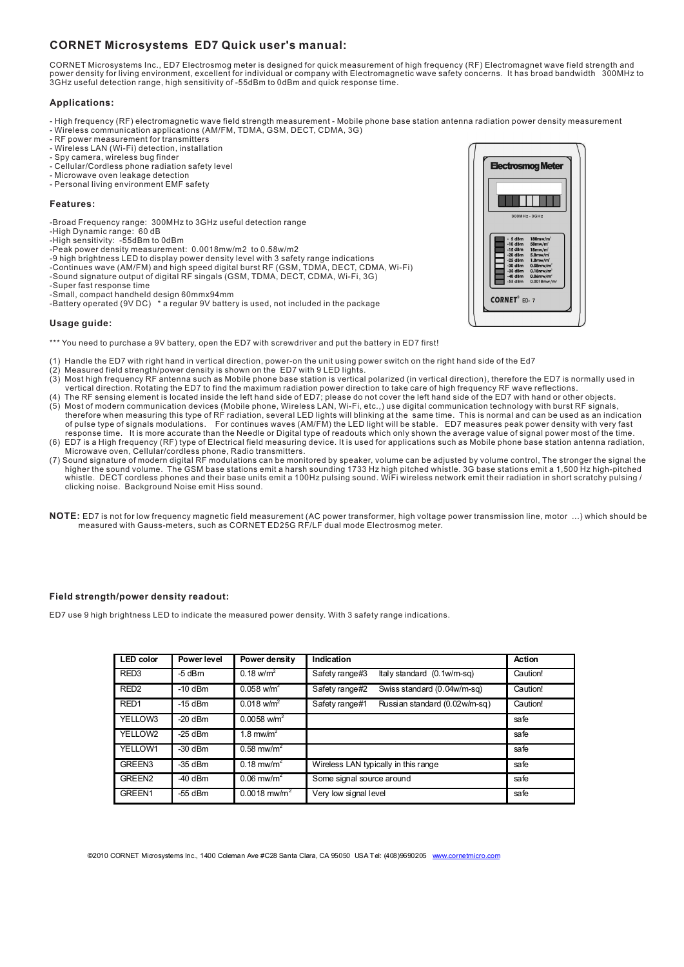# **CORNET Microsystems ED7 Quick user's manual:**

CORNET Microsystems Inc., ED7 Electrosmog meter is designed for quick measurement of high frequency (RF) Electromagnet wave field strength and power density for living environment, excellent for individual or company with Electromagnetic wave safety concerns. It has broad bandwidth 300MHz to 3GHz useful detection range, high sensitivity of -55dBm to 0dBm and quick response time.

### **Applications:**

- High frequency (RF) electromagnetic wave field strength measurement Mobile phone base station antenna radiation power density measurement
- Wireless communication applications (AM/FM, TDMA, GSM, DECT, CDMA, 3G) RF power measurement for transmitters
- 
- Wireless LAN (Wi-Fi) detection, installation
- Spy camera, wireless bug finder
- Cellular/Cordless phone radiation safety level - Microwave oven leakage detection
- Personal living environment EMF safety

#### **Features:**

- -Broad Frequency range: 300MHz to 3GHz useful detection range
- -High Dynamic range: 60 dB
- 
- 
- -High sensitivity: -55dBm to 0dBm -Peak power density measurement: 0.0018mw/m2 to 0.58w/m2 -9 high brightness LED to display power density level with 3 safety range indications
- -Continues wave (AM/FM) and high speed digital burst RF (GSM, TDMA, DECT, CDMA, Wi-Fi)
- -Sound signature output of digital RF singals (GSM, TDMA, DECT, CDMA, Wi-Fi, 3G)

-Super fast response time -Small, compact handheld design 60mmx94mm

-Battery operated (9V DC) \* a regular 9V battery is used, not included in the package

#### **Usage guide:**

- \*\*\* You need to purchase a 9V battery, open the ED7 with screwdriver and put the battery in ED7 first!
- (1) Handle the ED7 with right hand in vertical direction, power-on the unit using power switch on the right hand side of the Ed7
- (2) Measured field strength/power density is shown on the ED7 with 9 LED lights.
- (3) Most high frequency RF antenna such as Mobile phone base station is vertical polarized (in vertical direction), therefore the ED7 is normally used in
- vertical direction. Rotating the ED7 to find the maximum radiation power direction to take care of high frequency RF wave reflections.<br>(4) The RF sensing element is located inside the left hand side of ED7, please do not c of pulse type of signals modulations. For continues waves (AM/FM) the LED light will be stable. ED7 measures peak power density with very fast<br>response time. It is more accurate than the Needle or Digital type of readouts (6) ED7 is a High frequency (RF) type of Electrical field measuring device. It is used for applications such as Mobile phone base station antenna radiation,
- Microwave oven, Cellular/cordless phone, Radio transmitters.
- (7) Sound signature of modern digital RF modulations can be monitored by speaker, volume can be adjusted by volume control, The stronger the signal the higher the sound volume. The GSM base stations emit a harsh sounding 1733 Hz high pitched whistle. 3G base stations emit a 1,500 Hz high-pitched<br>/ whistle. DECT cordless phones and their base units emit a 100Hz pulsing so clicking noise. Background Noise emit Hiss sound.
- **NOTE:** ED7 is not for low frequency magnetic field measurement (AC power transformer, high voltage power transmission line, motor ...) which should be measured with Gauss-meters, such as CORNET ED25G RF/LF dual mode Electrosmog meter.

## **Field strength/power density readout:**

ED7 use 9 high brightness LED to indicate the measured power density. With 3 safety range indications.

| <b>LED</b> color   | Power level | Power density                     | Indication                                      | Action   |
|--------------------|-------------|-----------------------------------|-------------------------------------------------|----------|
| RED <sub>3</sub>   | $-5$ dBm    | $0.18 \text{ w/m}^2$              | Safety range#3<br>Italy standard $(0.1w/m-sq)$  | Caution! |
| RED <sub>2</sub>   | $-10$ dBm   | $0.058$ w/m <sup>2</sup>          | Safety range#2<br>Swiss standard (0.04w/m-sq)   | Caution! |
| RED <sub>1</sub>   | $-15$ dBm   | $0.018$ w/m <sup>2</sup>          | Russian standard (0.02w/m-sg)<br>Safety range#1 | Caution! |
| YELLOW3            | $-20$ dBm   | $0.0058$ w/m <sup>2</sup>         |                                                 | safe     |
| YELLOW2            | $-25$ dBm   | 1.8 $mwhm2$                       |                                                 | safe     |
| YELLOW1            | $-30$ dBm   | $0.58$ mw/m <sup>2</sup>          |                                                 | safe     |
| GREEN3             | $-35$ dBm   | $0.18 \text{ m}$ w/m <sup>2</sup> | Wireless LAN typically in this range            | safe     |
| GREEN <sub>2</sub> | $-40$ dBm   | $0.06$ mw/m <sup>2</sup>          | Some signal source around                       | safe     |
| GREEN1             | $-55$ dBm   | $0.0018$ mw/m <sup>2</sup>        | Very low signal level                           | safe     |